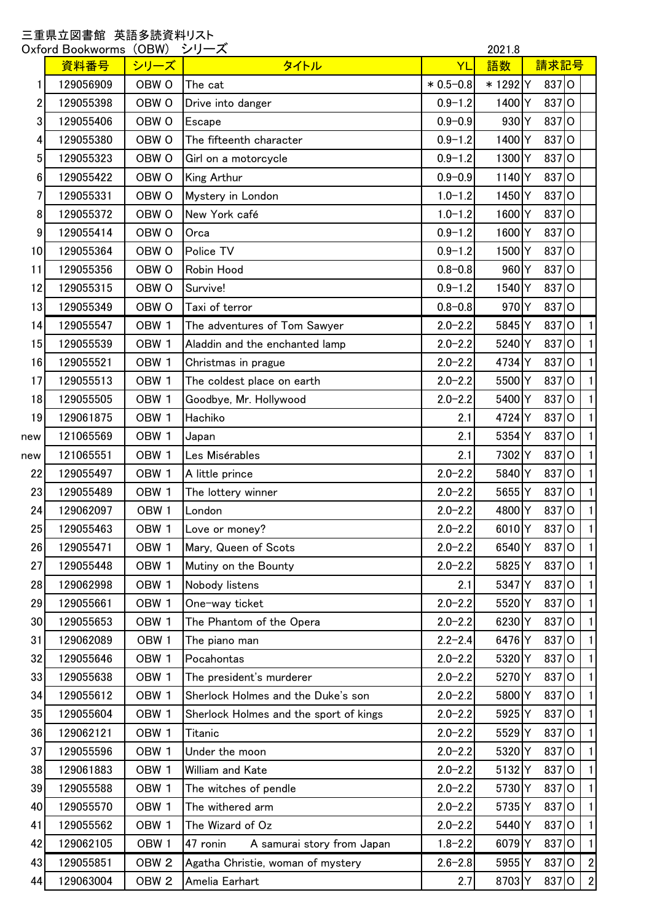## 三重県立図書館 英語多読資料リスト

| (OBW)<br>シリーズ<br>2021.8<br>Oxford Bookworms |           |                  |                                        |              |                    |      |         |                |              |
|---------------------------------------------|-----------|------------------|----------------------------------------|--------------|--------------------|------|---------|----------------|--------------|
|                                             | 資料番号      | シリーズ             | タイトル                                   | YL           | 語数                 | 請求記号 |         |                |              |
| 1                                           | 129056909 | OBW <sub>O</sub> | The cat                                | $*0.5 - 0.8$ | * 1292 Y           |      | 837 O   |                |              |
| $\overline{2}$                              | 129055398 | OBW <sub>O</sub> | Drive into danger                      | $0.9 - 1.2$  | 1400 Y             |      | $837$ O |                |              |
| 3                                           | 129055406 | OBW <sub>O</sub> | Escape                                 | $0.9 - 0.9$  | 930 Y              |      | 837 O   |                |              |
| 4                                           | 129055380 | OBW <sub>O</sub> | The fifteenth character                | $0.9 - 1.2$  | 1400 Y             |      | $837$ O |                |              |
| 5 <sup>1</sup>                              | 129055323 | OBW <sub>O</sub> | Girl on a motorcycle                   | $0.9 - 1.2$  | 1300 Y             |      | 837 O   |                |              |
| 6                                           | 129055422 | OBW <sub>O</sub> | King Arthur                            | $0.9 - 0.9$  | 1140Y              |      | $837$ O |                |              |
| 7                                           | 129055331 | OBW <sub>O</sub> | Mystery in London                      | $1.0 - 1.2$  | 1450 Y             |      | 837 O   |                |              |
| 8                                           | 129055372 | OBW <sub>O</sub> | New York café                          | $1.0 - 1.2$  | 1600               | ΙY   | 837 O   |                |              |
| 9                                           | 129055414 | OBW <sub>O</sub> | Orca                                   | $0.9 - 1.2$  | 1600Y              |      | 837 O   |                |              |
| 10                                          | 129055364 | OBW <sub>O</sub> | Police TV                              | $0.9 - 1.2$  | 1500Y              |      | 837 O   |                |              |
| 11                                          | 129055356 | OBW <sub>O</sub> | Robin Hood                             | $0.8 - 0.8$  | $960$ <sup>Y</sup> |      | $837$ O |                |              |
| 12                                          | 129055315 | OBW <sub>O</sub> | Survive!                               | $0.9 - 1.2$  | 1540 Y             |      | $837$ O |                |              |
| 13                                          | 129055349 | OBW <sub>O</sub> | Taxi of terror                         | $0.8 - 0.8$  | 970 <sub>Y</sub>   |      | 837 O   |                |              |
| 14                                          | 129055547 | OBW <sub>1</sub> | The adventures of Tom Sawyer           | $2.0 - 2.2$  | 5845 Y             |      | 837 O   |                | $\mathbf{1}$ |
| 15                                          | 129055539 | OBW <sub>1</sub> | Aladdin and the enchanted lamp         | $2.0 - 2.2$  | 5240Y              |      | 837 O   |                | $\mathbf{1}$ |
| 16                                          | 129055521 | OBW <sub>1</sub> | Christmas in prague                    | $2.0 - 2.2$  | 4734 Y             |      | 837 O   |                | $\vert$      |
| 17                                          | 129055513 | OBW <sub>1</sub> | The coldest place on earth             | $2.0 - 2.2$  | 5500Y              |      | 837     | lo             | $\vert$      |
| 18                                          | 129055505 | OBW <sub>1</sub> | Goodbye, Mr. Hollywood                 | $2.0 - 2.2$  | 5400Y              |      | 837 O   |                | $\mathbf{1}$ |
| 19                                          | 129061875 | OBW <sub>1</sub> | Hachiko                                | 2.1          | 4724               | Y    | 837     | lO             | $\mathbf{1}$ |
| new                                         | 121065569 | OBW <sub>1</sub> | Japan                                  | 2.1          | 5354Y              |      | 837 O   |                | $\mathbf{1}$ |
| new                                         | 121065551 | OBW <sub>1</sub> | Les Misérables                         | 2.1          | 7302 Y             |      | 837 O   |                | $\mathbf{1}$ |
| 22                                          | 129055497 | OBW <sub>1</sub> | A little prince                        | $2.0 - 2.2$  | 5840 Y             |      | 837     | $\overline{O}$ | $\mathbf{1}$ |
| 23                                          | 129055489 | OBW <sub>1</sub> | The lottery winner                     | $2.0 - 2.2$  | 5655 Y             |      | 837     | lo             | $\mathbf{1}$ |
| 24                                          | 129062097 | OBW <sub>1</sub> | London                                 | $2.0 - 2.2$  | 4800 Y             |      | 837     | O              | $\mathbf{1}$ |
| 25                                          | 129055463 | OBW <sub>1</sub> | Love or money?                         | $2.0 - 2.2$  | 6010Y              |      | $837$ O |                | $\mathbf{1}$ |
| 26                                          | 129055471 | OBW <sub>1</sub> | Mary, Queen of Scots                   | $2.0 - 2.2$  | 6540Y              |      | 837 O   |                | $\vert$      |
| 27                                          | 129055448 | OBW <sub>1</sub> | Mutiny on the Bounty                   | $2.0 - 2.2$  | 5825 Y             |      | $837$ O |                | $\vert$ 1    |
| 28                                          | 129062998 | OBW <sub>1</sub> | Nobody listens                         | 2.1          | 5347 Y             |      | $837$ O |                | $\vert$      |
| 29                                          | 129055661 | OBW <sub>1</sub> | One-way ticket                         | $2.0 - 2.2$  | 5520Y              |      | 837 O   |                | $\mathbf{1}$ |
| 30 <sub>0</sub>                             | 129055653 | OBW <sub>1</sub> | The Phantom of the Opera               | $2.0 - 2.2$  | 6230Y              |      | 837 O   |                | $\mathbf{1}$ |
| 31                                          | 129062089 | OBW <sub>1</sub> | The piano man                          | $2.2 - 2.4$  | 6476 Y             |      | $837$ O |                | $\mathbf{1}$ |
| 32                                          | 129055646 | OBW <sub>1</sub> | Pocahontas                             | $2.0 - 2.2$  | 5320Y              |      | 837 O   |                | $\vert$      |
| 33                                          | 129055638 | OBW <sub>1</sub> | The president's murderer               | $2.0 - 2.2$  | 5270 Y             |      | 837 O   |                | $\vert$      |
| 34                                          | 129055612 | OBW <sub>1</sub> | Sherlock Holmes and the Duke's son     | $2.0 - 2.2$  | 5800Y              |      | 837 O   |                | $\mathbf{1}$ |
| 35                                          | 129055604 | OBW <sub>1</sub> | Sherlock Holmes and the sport of kings | $2.0 - 2.2$  | 5925 Y             |      | 837 O   |                | $\mathbf{1}$ |
| 36                                          | 129062121 | OBW <sub>1</sub> | Titanic                                | $2.0 - 2.2$  | 5529               | Y    | 837 O   |                | $\mathbf{1}$ |
| 37                                          | 129055596 | OBW <sub>1</sub> | Under the moon                         | $2.0 - 2.2$  | 5320Y              |      | 837 O   |                | $\mathbf{1}$ |
| 38                                          | 129061883 | OBW <sub>1</sub> | William and Kate                       | $2.0 - 2.2$  | 5132 Y             |      | 837     | $\overline{O}$ | $\vert$      |
| 39                                          | 129055588 | OBW <sub>1</sub> | The witches of pendle                  | $2.0 - 2.2$  | 5730Y              |      | $837$ O |                | $\vert$      |
| 40                                          | 129055570 | OBW <sub>1</sub> | The withered arm                       | $2.0 - 2.2$  | 5735Y              |      | 837 O   |                | $\vert$      |
| 41                                          |           |                  |                                        |              |                    |      | 837 O   |                | $\mathbf{1}$ |
| 42                                          | 129055562 | OBW <sub>1</sub> | The Wizard of Oz<br>47 ronin           | $2.0 - 2.2$  | 5440               | Y    | $837$ O |                | $\mathbf{1}$ |
|                                             | 129062105 | OBW <sub>1</sub> | A samurai story from Japan             | $1.8 - 2.2$  | 6079Y              |      |         |                |              |
| 43                                          | 129055851 | OBW <sub>2</sub> | Agatha Christie, woman of mystery      | $2.6 - 2.8$  | 5955 Y             |      | 837 O   |                | $\mathbf{2}$ |
| 44                                          | 129063004 | OBW <sub>2</sub> | Amelia Earhart                         | 2.7          | 8703Y              |      | 837 O   |                | $\mathbf{2}$ |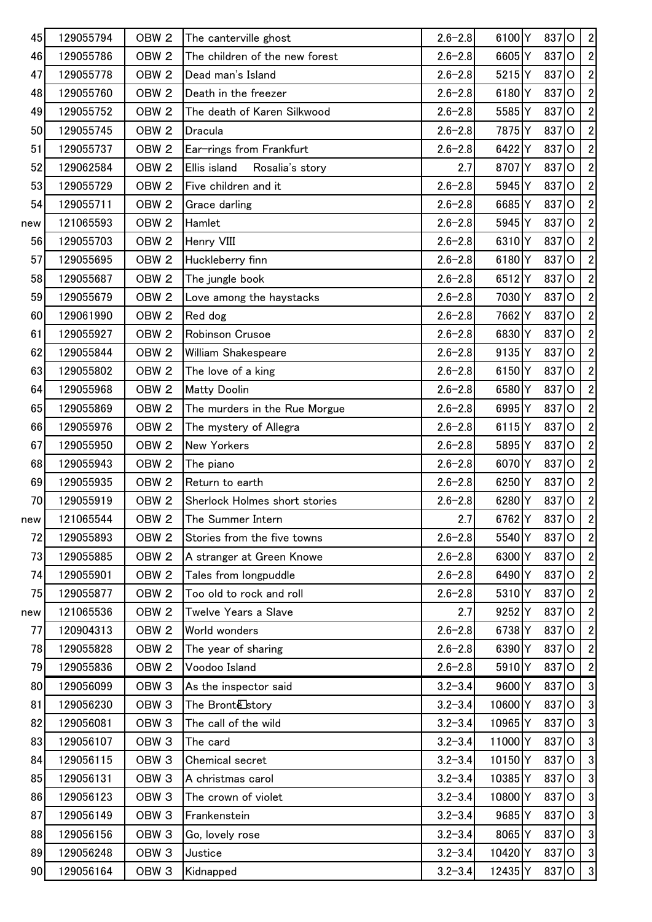| 45  | 129055794 | OBW <sub>2</sub> | The canterville ghost           | $2.6 - 2.8$ | 6100Y                | 837          | $\circ$        | $\overline{2}$   |
|-----|-----------|------------------|---------------------------------|-------------|----------------------|--------------|----------------|------------------|
| 46  | 129055786 | OBW <sub>2</sub> | The children of the new forest  | $2.6 - 2.8$ | 6605Y                | 837          | $\overline{O}$ | $\overline{2}$   |
| 47  | 129055778 | OBW <sub>2</sub> | Dead man's Island               | $2.6 - 2.8$ | 5215Y                | 837          | $\circ$        | $\overline{2}$   |
| 48  | 129055760 | OBW <sub>2</sub> | Death in the freezer            | $2.6 - 2.8$ | 6180Y                | 837          | $\circ$        | $\overline{2}$   |
| 49  | 129055752 | OBW <sub>2</sub> | The death of Karen Silkwood     | $2.6 - 2.8$ | 5585 Y               | 837          | lo             | $\overline{2}$   |
| 50  | 129055745 | OBW <sub>2</sub> | Dracula                         | $2.6 - 2.8$ | 7875Y                | 837          | lo             | $\overline{2}$   |
| 51  | 129055737 | OBW <sub>2</sub> | Ear-rings from Frankfurt        | $2.6 - 2.8$ | 6422 Y               | 837          | $\overline{O}$ | $\overline{2}$   |
| 52  | 129062584 | OBW <sub>2</sub> | Ellis island<br>Rosalia's story | 2.7         | 8707 Y               | 837          | $\circ$        | $\overline{2}$   |
| 53  | 129055729 | OBW <sub>2</sub> | Five children and it            | $2.6 - 2.8$ | 5945Y                | 837          | $\circ$        | $\overline{2}$   |
| 54  | 129055711 | OBW <sub>2</sub> | Grace darling                   | $2.6 - 2.8$ | 6685Y                | 837          | $\circ$        | $\overline{2}$   |
| new | 121065593 | OBW <sub>2</sub> | Hamlet                          | $2.6 - 2.8$ | 5945 Y               | 837          | lo             | $\overline{2}$   |
| 56  | 129055703 | OBW <sub>2</sub> | Henry VIII                      | $2.6 - 2.8$ | 6310Y                | 837          | $\overline{O}$ | $\overline{2}$   |
| 57  | 129055695 | OBW <sub>2</sub> | Huckleberry finn                | $2.6 - 2.8$ | 6180Y                | 837          | $\circ$        | $\overline{2}$   |
| 58  | 129055687 | OBW <sub>2</sub> | The jungle book                 | $2.6 - 2.8$ | 6512Y                | 837          | lo             | $\overline{2}$   |
| 59  | 129055679 | OBW <sub>2</sub> | Love among the haystacks        | $2.6 - 2.8$ | 7030 Y               | 837          | $\circ$        | $\overline{2}$   |
| 60  | 129061990 | OBW <sub>2</sub> | Red dog                         | $2.6 - 2.8$ | 7662Y                | 837          | lo             | $\overline{2}$   |
| 61  | 129055927 | OBW <sub>2</sub> | Robinson Crusoe                 | $2.6 - 2.8$ | 6830Y                | 837          | lo             | $\overline{2}$   |
| 62  | 129055844 | OBW <sub>2</sub> | William Shakespeare             | $2.6 - 2.8$ | 9135 Y               | 837          | $\circ$        | $\overline{2}$   |
| 63  | 129055802 | OBW <sub>2</sub> | The love of a king              | $2.6 - 2.8$ | 6150Y                | 837          | $\circ$        | $\overline{2}$   |
| 64  | 129055968 | OBW <sub>2</sub> | <b>Matty Doolin</b>             | $2.6 - 2.8$ | 6580Y                | 837          | lO             | $\overline{2}$   |
| 65  | 129055869 | OBW <sub>2</sub> | The murders in the Rue Morgue   | $2.6 - 2.8$ | 6995 Y               | 837          | $\circ$        | 2                |
| 66  | 129055976 | OBW <sub>2</sub> | The mystery of Allegra          | $2.6 - 2.8$ | $6115$ Y             | 837          | lo             | $\overline{2}$   |
| 67  | 129055950 | OBW <sub>2</sub> | <b>New Yorkers</b>              | $2.6 - 2.8$ | 5895 Y               | 837          | $\overline{O}$ | $\overline{2}$   |
| 68  | 129055943 | OBW <sub>2</sub> | The piano                       | $2.6 - 2.8$ | 6070Y                | 837          | $\overline{O}$ | $\mathbf{2}$     |
| 69  | 129055935 | OBW <sub>2</sub> | Return to earth                 | $2.6 - 2.8$ | 6250 Y               | 837          | $\circ$        | $\overline{2}$   |
| 70  | 129055919 | OBW <sub>2</sub> | Sherlock Holmes short stories   | $2.6 - 2.8$ | 6280Y                | 837          | $\circ$        | $\boldsymbol{2}$ |
| new | 121065544 | OBW <sub>2</sub> | The Summer Intern               | 2.7         |                      | 6762 Y 837 O |                | $\overline{2}$   |
| 72  | 129055893 | OBW <sub>2</sub> | Stories from the five towns     | $2.6 - 2.8$ | 5540Y                | 837 O        |                | $\overline{2}$   |
| 73  | 129055885 | OBW <sub>2</sub> | A stranger at Green Knowe       | $2.6 - 2.8$ | 6300Y                | 837          | $\overline{O}$ | $\sqrt{2}$       |
| 74  | 129055901 | OBW <sub>2</sub> | Tales from longpuddle           | $2.6 - 2.8$ | 6490 Y               | 837          | lo             | $\sqrt{2}$       |
| 75  | 129055877 | OBW <sub>2</sub> | Too old to rock and roll        | $2.6 - 2.8$ | 5310Y                | 837          | lo             | $\overline{2}$   |
| new | 121065536 | OBW <sub>2</sub> | Twelve Years a Slave            | 2.7         | 9252 Y               | 837          | lO             | 2                |
| 77  | 120904313 | OBW <sub>2</sub> | World wonders                   | $2.6 - 2.8$ | 6738Y                | 837          | lO             | 2                |
| 78  | 129055828 | OBW <sub>2</sub> | The year of sharing             | $2.6 - 2.8$ | 6390Y                | 837          | O              | $\overline{2}$   |
| 79  | 129055836 | OBW <sub>2</sub> | Voodoo Island                   | $2.6 - 2.8$ | 5910Y                | 837          | $\overline{O}$ | $\overline{2}$   |
| 80  | 129056099 | OBW <sub>3</sub> | As the inspector said           | $3.2 - 3.4$ | 9600 Y               | 837          | lo             | $\mathbf{3}$     |
| 81  | 129056230 | OBW <sub>3</sub> | The Bronte story                | $3.2 - 3.4$ | 10600 Y              | 837          | lO             | 3                |
| 82  | 129056081 | OBW <sub>3</sub> | The call of the wild            | $3.2 - 3.4$ | 10965 Y              | 837          | $\circ$        | 3                |
| 83  | 129056107 | OBW <sub>3</sub> | The card                        | $3.2 - 3.4$ | 11000Y               | 837          | lO             | 3                |
| 84  | 129056115 | OBW <sub>3</sub> | Chemical secret                 | $3.2 - 3.4$ | $10150$ <sup>Y</sup> | 837          | $\overline{O}$ | $\mathbf{3}$     |
| 85  | 129056131 | OBW <sub>3</sub> | A christmas carol               | $3.2 - 3.4$ | 10385Y               | 837          | lo             | $\mathbf{3}$     |
| 86  | 129056123 | OBW <sub>3</sub> | The crown of violet             | $3.2 - 3.4$ | 10800 Y              | 837          | $\overline{O}$ | $\mathbf{3}$     |
| 87  | 129056149 | OBW <sub>3</sub> | Frankenstein                    | $3.2 - 3.4$ | 9685Y                | 837          | lO             | 3                |
| 88  | 129056156 | OBW <sub>3</sub> | Go, lovely rose                 | $3.2 - 3.4$ | 8065Y                | 837          | lO             | $\mathbf{3}$     |
| 89  | 129056248 | OBW <sub>3</sub> | Justice                         | $3.2 - 3.4$ | 10420 Y              | 837 O        |                | $\mathbf{3}$     |
| 90  | 129056164 | OBW <sub>3</sub> | Kidnapped                       | $3.2 - 3.4$ | 12435 Y              | 837 O        |                | 3                |
|     |           |                  |                                 |             |                      |              |                |                  |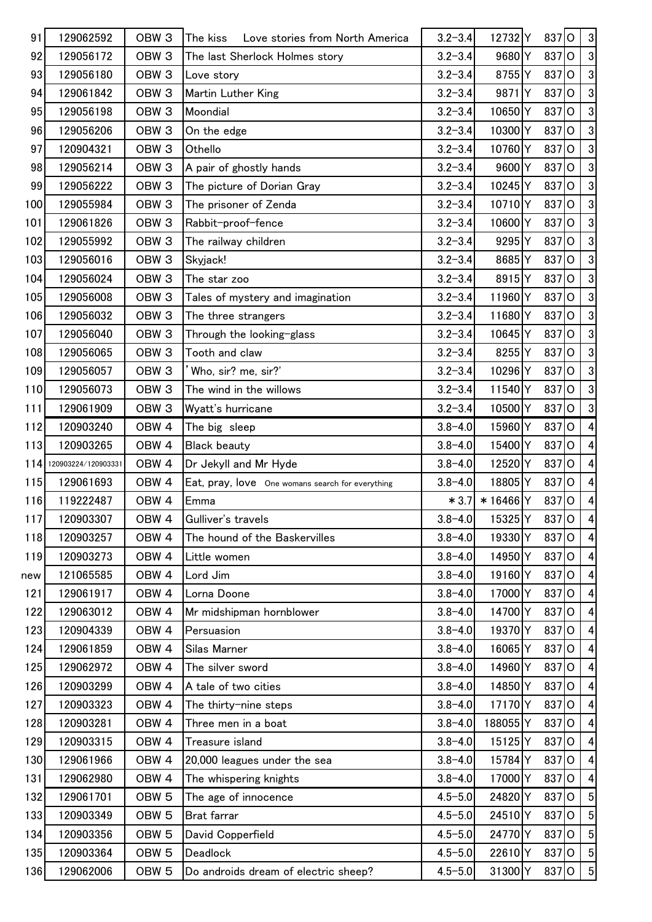| 91    | 129062592           | OBW <sub>3</sub> | Love stories from North America<br>The kiss      | $3.2 - 3.4$ | 12732 Y            | 837 O   |    | $\mathbf{3}$         |
|-------|---------------------|------------------|--------------------------------------------------|-------------|--------------------|---------|----|----------------------|
| 92    | 129056172           | OBW <sub>3</sub> | The last Sherlock Holmes story                   | $3.2 - 3.4$ | 9680Y              | 837     | lo | $\mathbf{3}$         |
| 93    | 129056180           | OBW <sub>3</sub> | Love story                                       | $3.2 - 3.4$ | 8755Y              | 837 O   |    | $\boldsymbol{\beta}$ |
| 94    | 129061842           | OBW <sub>3</sub> | Martin Luther King                               | $3.2 - 3.4$ | 9871Y              | 837 O   |    | 3 <sup>1</sup>       |
| 95    | 129056198           | OBW <sub>3</sub> | Moondial                                         | $3.2 - 3.4$ | 10650Y             | 837     | lo | $\overline{3}$       |
| 96    | 129056206           | OBW <sub>3</sub> | On the edge                                      | $3.2 - 3.4$ | 10300 Y            | 837     | lo | $\mathbf{3}$         |
| 97    | 120904321           | OBW <sub>3</sub> | Othello                                          | $3.2 - 3.4$ | 10760Y             | 837     | lo | $\mathbf{3}$         |
| 98    | 129056214           | OBW <sub>3</sub> | A pair of ghostly hands                          | $3.2 - 3.4$ | 9600 Y             | 837     | lo | $\mathbf{3}$         |
| 99    | 129056222           | OBW <sub>3</sub> | The picture of Dorian Gray                       | $3.2 - 3.4$ | 10245 Y            | 837 O   |    | $\overline{3}$       |
| 100   | 129055984           | OBW <sub>3</sub> | The prisoner of Zenda                            | $3.2 - 3.4$ | 10710Y             | 837 O   |    | $\overline{3}$       |
| 101   | 129061826           | OBW <sub>3</sub> | Rabbit-proof-fence                               | $3.2 - 3.4$ | 10600Y             | 837     | lo | 3 <sup>1</sup>       |
| 102   | 129055992           | OBW <sub>3</sub> | The railway children                             | $3.2 - 3.4$ | 9295 Y             | $837$ O |    | $\overline{3}$       |
| 103   | 129056016           | OBW <sub>3</sub> | Skyjack!                                         | $3.2 - 3.4$ | 8685 Y             | 837     | lO | $\boldsymbol{3}$     |
| 104   | 129056024           | OBW <sub>3</sub> | The star zoo                                     | $3.2 - 3.4$ | 8915Y              | 837     | lo | $\mathbf{3}$         |
| 105   | 129056008           | OBW <sub>3</sub> | Tales of mystery and imagination                 | $3.2 - 3.4$ | 11960 Y            | 837 O   |    | $\overline{3}$       |
| 106   | 129056032           | OBW <sub>3</sub> | The three strangers                              | $3.2 - 3.4$ | 11680Y             | 837     | lo | $\overline{3}$       |
| 107   | 129056040           | OBW <sub>3</sub> | Through the looking-glass                        | $3.2 - 3.4$ | 10645 Y            | 837     | lo | $\mathbf{3}$         |
| 108   | 129056065           | OBW <sub>3</sub> | Tooth and claw                                   | $3.2 - 3.4$ | 8255 Y             | 837     | lo | 3 <sup>1</sup>       |
| 109   | 129056057           | OBW <sub>3</sub> | Who, sir? me, sir?'                              | $3.2 - 3.4$ | 10296 Y            | 837     | lo | $\mathbf{3}$         |
| 110   | 129056073           | OBW <sub>3</sub> | The wind in the willows                          | $3.2 - 3.4$ | 11540Y             | 837 O   |    | $\overline{3}$       |
| 111   | 129061909           | OBW <sub>3</sub> | Wyatt's hurricane                                | $3.2 - 3.4$ | 10500Y             | 837     | lo | $\overline{3}$       |
| 112   | 120903240           | OBW <sub>4</sub> | The big sleep                                    | $3.8 - 4.0$ | 15960Y             | 837     | lo | $\vert 4 \vert$      |
| 113   | 120903265           | OBW <sub>4</sub> | <b>Black beauty</b>                              | $3.8 - 4.0$ | 15400Y             | 837     | lo | $\vert 4 \vert$      |
| 114   | 120903224/120903331 | OBW <sub>4</sub> | Dr Jekyll and Mr Hyde                            | $3.8 - 4.0$ | 12520Y             | 837     | lo | $\vert 4 \vert$      |
| 115   | 129061693           | OBW <sub>4</sub> | Eat, pray, love One womans search for everything | $3.8 - 4.0$ | 18805 Y            | 837 O   |    | $\vert 4 \vert$      |
| 116   | 119222487           | OBW <sub>4</sub> | Emma                                             | $*3.7$      | *16466 Y           | 837 O   |    | $\vert 4 \vert$      |
| $117$ | 120903307           | OBW 4            | Gulliver's travels                               | $3.8 - 4.0$ | 15325              | $837$ O |    | $\overline{4}$       |
| 118   | 120903257           | OBW <sub>4</sub> | The hound of the Baskervilles                    | $3.8 - 4.0$ | 19330 Y            | 837 O   |    | $\vert 4 \vert$      |
| 119   | 120903273           | OBW <sub>4</sub> | Little women                                     | $3.8 - 4.0$ | 14950 Y            | 837 O   |    | $\vert 4 \vert$      |
| new   | 121065585           | OBW <sub>4</sub> | Lord Jim                                         | $3.8 - 4.0$ | 19160 <sup>Y</sup> | 837 O   |    | $\vert 4 \vert$      |
| 121   | 129061917           | OBW <sub>4</sub> | Lorna Doone                                      | $3.8 - 4.0$ | 17000 Y            | 837 O   |    | 4                    |
| 122   | 129063012           | OBW <sub>4</sub> | Mr midshipman hornblower                         | $3.8 - 4.0$ | 14700 Y            | 837 O   |    | 4                    |
| 123   | 120904339           | OBW <sub>4</sub> | Persuasion                                       | $3.8 - 4.0$ | 19370 Y            | 837 O   |    | $\vert 4 \vert$      |
| 124   | 129061859           | OBW <sub>4</sub> | Silas Marner                                     | $3.8 - 4.0$ | 16065Y             | $837$ O |    | $\vert 4 \vert$      |
| 125   | 129062972           | OBW <sub>4</sub> | The silver sword                                 | $3.8 - 4.0$ | 14960 Y            | 837     | IО | $\vert 4 \vert$      |
| 126   | 120903299           | OBW <sub>4</sub> | A tale of two cities                             | $3.8 - 4.0$ | 14850 Y            | 837 O   |    | 4                    |
| 127   | 120903323           | OBW <sub>4</sub> | The thirty-nine steps                            | $3.8 - 4.0$ | 17170Y             | 837 O   |    | $\vert 4 \vert$      |
| 128   | 120903281           | OBW <sub>4</sub> | Three men in a boat                              | $3.8 - 4.0$ | 188055 Y           | 837 O   |    | $\vert 4 \vert$      |
| 129   | 120903315           | OBW <sub>4</sub> | Treasure island                                  | $3.8 - 4.0$ | 15125Y             | 837 O   |    | $\vert 4 \vert$      |
| 130   | 129061966           | OBW <sub>4</sub> | 20,000 leagues under the sea                     | $3.8 - 4.0$ | 15784Y             | 837 O   |    | $\vert 4 \vert$      |
| 131   | 129062980           | OBW <sub>4</sub> | The whispering knights                           | $3.8 - 4.0$ | 17000 Y            | 837 O   |    | 4                    |
| 132   | 129061701           | OBW <sub>5</sub> | The age of innocence                             | $4.5 - 5.0$ | 24820 Y            | 837 O   |    | 5 <sup>1</sup>       |
| 133   | 120903349           | OBW <sub>5</sub> | Brat farrar                                      | $4.5 - 5.0$ | 24510Y             | 837 O   |    | 5 <sup>1</sup>       |
| 134   | 120903356           | OBW <sub>5</sub> | David Copperfield                                | $4.5 - 5.0$ | 24770 Y            | 837     | lo | 5 <sup>1</sup>       |
| 135   | 120903364           | OBW <sub>5</sub> | Deadlock                                         | $4.5 - 5.0$ | 22610Y             | 837 O   |    | $5\overline{)}$      |
|       | 129062006           | OBW <sub>5</sub> | Do androids dream of electric sheep?             | $4.5 - 5.0$ | 31300 Y            | 837 O   |    | 5 <sup>1</sup>       |
| 136   |                     |                  |                                                  |             |                    |         |    |                      |